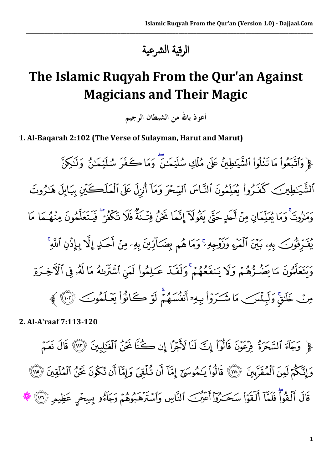الرقية الرشعية

\_\_\_\_\_\_\_\_\_\_\_\_\_\_\_\_\_\_\_\_\_\_\_\_\_\_\_\_\_\_\_\_\_\_\_\_\_\_\_\_\_\_\_\_\_\_\_\_\_\_\_\_\_\_\_\_\_\_\_\_\_\_\_\_\_\_\_\_\_\_\_\_\_\_\_\_\_\_\_\_\_\_\_\_\_\_\_\_\_\_\_\_\_\_

## **The Islamic Ruqyah From the Qur'an Against Magicians and Their Magic**

أعوذ بالله من الشيطان الرجيم

**1. Al-Baqarah 2:102 (The Verse of Sulayman, Harut and Marut)**

﴿ وَٱتَّبَعُواْ مَا تَنْلُواْ ٱلشَّيَـٰطِينُ عَلَىٰ مُمْلَكِ سُلَيۡمَـٰنَ ۖ وَمَا كَـٰفَرَ سُلَيۡمَـٰنُ ۖ وَلَـٰكِنَّ ٱلشَّيَـٰطِينَکِ کَفَـٰرُواْ يُعَلِّمُونَ ٱلنَّـاسَ ٱلسِّحْرَ وَمَآ أُنزِلَ عَلَى ٱلْمَلَڪَيْنِ بِبَابِلَ هَـٰذُوتَ حُرُوثٌ وَمَا يُعَلِّمَانِ مِنْ أَحَدٍ حَتَّىٰ بِقُولاً إِنَّمَا نَحَنُ فِتُ4َ فَلَا تَكْفُرُ فَيتَعَلَّمُونَ مِنْهُـمَا مَا يُفْرِقُونَ بِهِۦ بَيْنَ ٱلْمَرْءِ وَزَوْجِهِۦۚ وَمَا هُم بِضَكَارِّينَ بِهِۦ مِنۡ أَحَكِ إِلَّا بِإِذْنِ ٱللَّهِ وَنَعَلَّمُونَ مَا يَضُرُّهُمْ وَلَا يَنفَعُهُمْ وَلَقَدْ عَـلِمُواْ لَمَن ٱشْتَرَىٰهُ مَا لَهُۥ فِى ٱلْأَخِـرَةِ مِنَ خَلَقَ وَلَيِنْسَبِ مَا شَيَرَوْا بِهِءَ أَنْفُسِهُمْ لَوْ ڪَانُواْ بَعْبَكُمُوبَ ۞ ﴾

**2. Al-A'raaf 7:113-120**

﴿ وَجَآءَ ٱلسَّحَرَةَ فِرْعَوْنَ قَالُوٓاْ إِنَّ لَنَا لَأَجْرًا إِن كُنَّا نَحَنُّ ٱلْغَـٰلِبِينَ ۞ قَالَ نَعَمّ وَإِنَّكُمْ لَمِنَ ٱلْمُقَرَّبِينَ ۚ ۞ ۚ قَالُواْ يَـٰمُوسَىٓ إِمَّآ أَن تُـُلُّقِيَ وَإِمَّآ أَن تَكُونَ نَحْنُ ٱلْمُلْقِينَ ﴿ ٱلْ قَالَ أَلْقُواْ فَلَمَّا أَلْقَوَاْ سَحَـٰرُوٓاْ أَعۡيۡبَ ٱلنَّاسِ وَٱسۡتَرْهَٰدُوهُمۡ وَجَآءُو بِسِحۡرِ عَظِيمِ ۞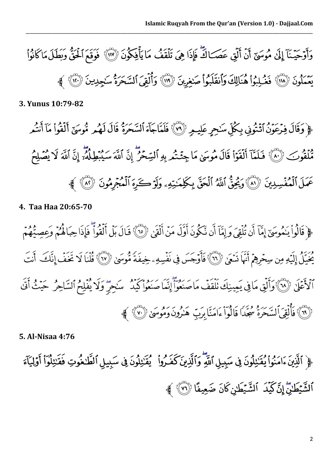

\_\_\_\_\_\_\_\_\_\_\_\_\_\_\_\_\_\_\_\_\_\_\_\_\_\_\_\_\_\_\_\_\_\_\_\_\_\_\_\_\_\_\_\_\_\_\_\_\_\_\_\_\_\_\_\_\_\_\_\_\_\_\_\_\_\_\_\_\_\_\_\_\_\_\_\_\_\_\_\_\_\_\_\_\_\_\_\_\_\_\_\_\_\_

**3. Yunus 10:79-82**

﴿وَقَالَ فِرْعَوْنُ أَثْنُونِي بِكُلِّ سَنحِرٍ عَلِيمٍ ۞ فَلَمَّاجَآءَ ٱلسَّحَرَةُ قَالَ لَهُم مُّوسَىٰٓ أَلْقُواْ مَآ أَنتُم فَنْقُوبَ (٨٠) فَلَمَّآ أَلْقَوۡاْ قَالَ مُوسَىٰ مَا جِئۡـُمُهِ بِهِ ٱلسِّحۡرِ إِنَّ اللَّهَ سِيُبِطِلْهُۥَ إِنَّ اللَّهَ لَا يُصَلِحْ عَمَلَ ٱلْمُفْسِدِينَ ﴿ ٱلْمَرَكَّا وَيُحِقُّ ٱللَّهُ ٱلْحَقَّ بِكَلِّمَنِيّهِۦ وَلَوۡ كَيرَهَ ٱلْمُجۡمُونَ ﴿ ٱلْمُ

**4. Taa Haa 20:65-70**

﴿ قَالُواْ يَنْمُوسَىٓ إِمَّآ أَن تُلْقِيَ وَ إِمَّآ أَن نَّكُونَ أَوَّلَ مَنۡ أَلۡقَىٰۤ لِأَنَّْ إِنَّ أَلۡقَوْا ۖ فَإِذَا حِبَاهُمۡ وَعِصِبَٰهُمۡ ۖ يَجْيَلُ إِلَيْهِ مِن سِحْرِهِمُ أَنَّهَا تَسْعَىٰ ﴿ إِنَّمَ فَأَوْجَسَ فِي نَفْسِهِ حِيفَةً مُّوسَىٰ ﴿ إِلَيْهِ كَفَلْنَا لَا تَخَفَّ إِنَّكَ أَنْتَ أَلَا ثَمَلَا (١٨) وَأَلَقِ مَا فِي يَمِينِكَ نَلْقَفَ مَا صَنِعُواْ أَنِّمَا صنعُوا كَيْدُ مِنْهُمْ كَيْفَ حَسَنُ أَنَّى خَلَيْفَ أَنَّى رْ (٦٩) فَأَلْقِيَ ٱلسَّحَرَةُ مُجَدًا فَالُواْ ءَامَنَا بِرَبِّ هَنْرُونَ وَمُوسَىٰ ﴿ ٧٠) ﴾

**5. Al-Nisaa 4:76**

﴿ ٱلَّذِينَ ءَامَنُواْ يُقَنِّبْلُونَ فِي سَبِيلِ ٱللَّهِ وَٱلَّذِينَ كَفَيْرُواْ ۖ يُقَنِّبْلُونَ فِي سَبِيلِ ٱلطَّحْوَتِ فَقَنِبْلُوٓاْ أَوۡلِيَآۡءَ اَلشَّيْطَٰنِّ إِنَّ كَيْدَ ۚ اَلشَّيْطَٰنِ كَانَ ضَعِيفًا (٣) ﴾